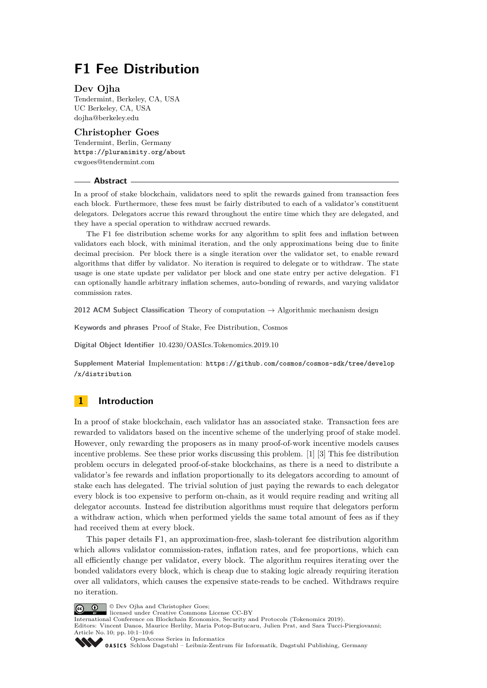# **F1 Fee Distribution**

### **Dev Ojha**

Tendermint, Berkeley, CA, USA UC Berkeley, CA, USA [dojha@berkeley.edu](mailto:dojha@berkeley.edu)

### **Christopher Goes**

Tendermint, Berlin, Germany <https://pluranimity.org/about> [cwgoes@tendermint.com](mailto:cwgoes@tendermint.com)

### **Abstract**

In a proof of stake blockchain, validators need to split the rewards gained from transaction fees each block. Furthermore, these fees must be fairly distributed to each of a validator's constituent delegators. Delegators accrue this reward throughout the entire time which they are delegated, and they have a special operation to withdraw accrued rewards.

The F1 fee distribution scheme works for any algorithm to split fees and inflation between validators each block, with minimal iteration, and the only approximations being due to finite decimal precision. Per block there is a single iteration over the validator set, to enable reward algorithms that differ by validator. No iteration is required to delegate or to withdraw. The state usage is one state update per validator per block and one state entry per active delegation. F1 can optionally handle arbitrary inflation schemes, auto-bonding of rewards, and varying validator commission rates.

**2012 ACM Subject Classification** Theory of computation → Algorithmic mechanism design

**Keywords and phrases** Proof of Stake, Fee Distribution, Cosmos

**Digital Object Identifier** [10.4230/OASIcs.Tokenomics.2019.10](https://doi.org/10.4230/OASIcs.Tokenomics.2019.10)

**Supplement Material** Implementation: [https://github.com/cosmos/cosmos-sdk/tree/develop](https://github.com/cosmos/cosmos-sdk/tree/develop/x/distribution) [/x/distribution](https://github.com/cosmos/cosmos-sdk/tree/develop/x/distribution)

# **1 Introduction**

In a proof of stake blockchain, each validator has an associated stake. Transaction fees are rewarded to validators based on the incentive scheme of the underlying proof of stake model. However, only rewarding the proposers as in many proof-of-work incentive models causes incentive problems. See these prior works discussing this problem. [\[1\]](#page-5-0) [\[3\]](#page-5-1) This fee distribution problem occurs in delegated proof-of-stake blockchains, as there is a need to distribute a validator's fee rewards and inflation proportionally to its delegators according to amount of stake each has delegated. The trivial solution of just paying the rewards to each delegator every block is too expensive to perform on-chain, as it would require reading and writing all delegator accounts. Instead fee distribution algorithms must require that delegators perform a withdraw action, which when performed yields the same total amount of fees as if they had received them at every block.

This paper details F1, an approximation-free, slash-tolerant fee distribution algorithm which allows validator commission-rates, inflation rates, and fee proportions, which can all efficiently change per validator, every block. The algorithm requires iterating over the bonded validators every block, which is cheap due to staking logic already requiring iteration over all validators, which causes the expensive state-reads to be cached. Withdraws require no iteration.

© Dev Ojha and Christopher Goes; <u>@\_0</u>

licensed under Creative Commons License CC-BY

International Conference on Blockchain Economics, Security and Protocols (Tokenomics 2019).

Editors: Vincent Danos, Maurice Herlihy, Maria Potop-Butucaru, Julien Prat, and Sara Tucci-Piergiovanni; Article No. 10; pp. 10:1–10[:6](#page-5-2)

[OpenAccess Series in Informatics](https://www.dagstuhl.de/oasics/)

OASICS [Schloss Dagstuhl – Leibniz-Zentrum für Informatik, Dagstuhl Publishing, Germany](https://www.dagstuhl.de)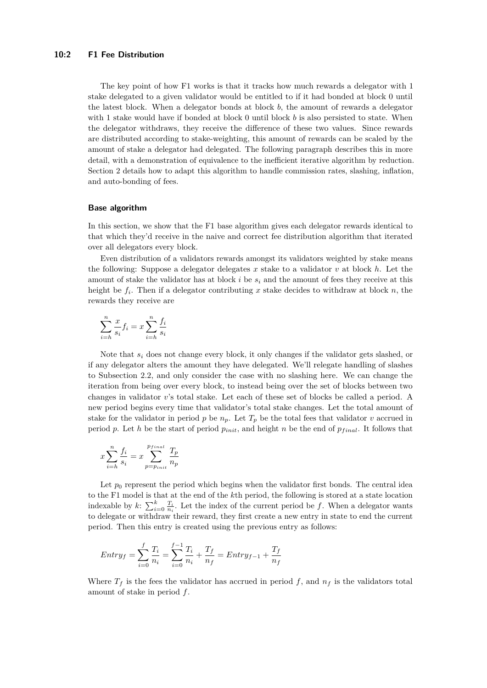The key point of how F1 works is that it tracks how much rewards a delegator with 1 stake delegated to a given validator would be entitled to if it had bonded at block 0 until the latest block. When a delegator bonds at block *b*, the amount of rewards a delegator with 1 stake would have if bonded at block 0 until block *b* is also persisted to state. When the delegator withdraws, they receive the difference of these two values. Since rewards are distributed according to stake-weighting, this amount of rewards can be scaled by the amount of stake a delegator had delegated. The following paragraph describes this in more detail, with a demonstration of equivalence to the inefficient iterative algorithm by reduction. Section 2 details how to adapt this algorithm to handle commission rates, slashing, inflation, and auto-bonding of fees.

#### **Base algorithm**

In this section, we show that the F1 base algorithm gives each delegator rewards identical to that which they'd receive in the naive and correct fee distribution algorithm that iterated over all delegators every block.

Even distribution of a validators rewards amongst its validators weighted by stake means the following: Suppose a delegator delegates *x* stake to a validator *v* at block *h*. Let the amount of stake the validator has at block  $i$  be  $s_i$  and the amount of fees they receive at this height be *f<sup>i</sup>* . Then if a delegator contributing *x* stake decides to withdraw at block *n*, the rewards they receive are

$$
\sum_{i=h}^{n} \frac{x}{s_i} f_i = x \sum_{i=h}^{n} \frac{f_i}{s_i}
$$

Note that *s<sup>i</sup>* does not change every block, it only changes if the validator gets slashed, or if any delegator alters the amount they have delegated. We'll relegate handling of slashes to [Subsection 2.2,](#page-2-0) and only consider the case with no slashing here. We can change the iteration from being over every block, to instead being over the set of blocks between two changes in validator *v*'s total stake. Let each of these set of blocks be called a period. A new period begins every time that validator's total stake changes. Let the total amount of stake for the validator in period *p* be  $n_p$ . Let  $T_p$  be the total fees that validator *v* accrued in period p. Let h be the start of period  $p_{init}$ , and height n be the end of  $p_{final}$ . It follows that

$$
x\sum_{i=h}^{n}\frac{f_i}{s_i} = x\sum_{p=p_{init}}^{p_{final}}\frac{T_p}{n_p}
$$

Let  $p_0$  represent the period which begins when the validator first bonds. The central idea to the F1 model is that at the end of the *k*th period, the following is stored at a state location indexable by  $k$ :  $\sum_{i=0}^{k} \frac{T_i}{n_i}$ . Let the index of the current period be *f*. When a delegator wants to delegate or withdraw their reward, they first create a new entry in state to end the current period. Then this entry is created using the previous entry as follows:

$$
Entry_f = \sum_{i=0}^{f} \frac{T_i}{n_i} = \sum_{i=0}^{f-1} \frac{T_i}{n_i} + \frac{T_f}{n_f} = Entry_{f-1} + \frac{T_f}{n_f}
$$

Where  $T_f$  is the fees the validator has accrued in period f, and  $n_f$  is the validators total amount of stake in period *f*.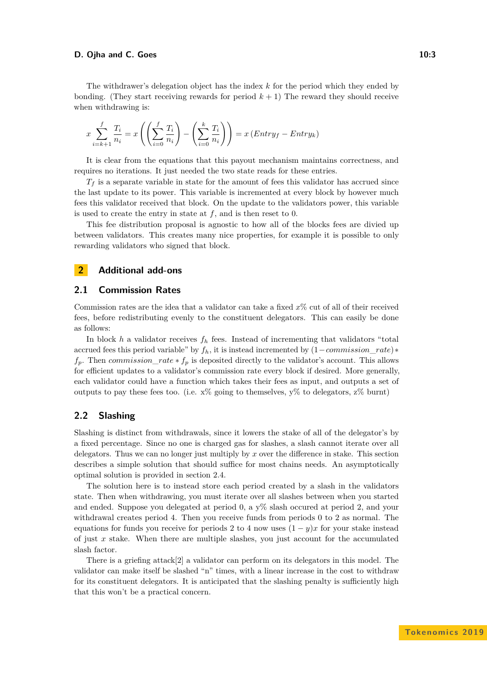### **D. Ojha and C. Goes 10:3**

The withdrawer's delegation object has the index *k* for the period which they ended by bonding. (They start receiving rewards for period  $k + 1$ ) The reward they should receive when withdrawing is:

$$
x\sum_{i=k+1}^{f} \frac{T_i}{n_i} = x\left(\left(\sum_{i=0}^{f} \frac{T_i}{n_i}\right) - \left(\sum_{i=0}^{k} \frac{T_i}{n_i}\right)\right) = x\left(Entry_f - Entry_k\right)
$$

It is clear from the equations that this payout mechanism maintains correctness, and requires no iterations. It just needed the two state reads for these entries.

 $T_f$  is a separate variable in state for the amount of fees this validator has accrued since the last update to its power. This variable is incremented at every block by however much fees this validator received that block. On the update to the validators power, this variable is used to create the entry in state at *f*, and is then reset to 0.

This fee distribution proposal is agnostic to how all of the blocks fees are divied up between validators. This creates many nice properties, for example it is possible to only rewarding validators who signed that block.

# **2 Additional add-ons**

# **2.1 Commission Rates**

Commission rates are the idea that a validator can take a fixed *x*% cut of all of their received fees, before redistributing evenly to the constituent delegators. This can easily be done as follows:

In block  $h$  a validator receives  $f_h$  fees. Instead of incrementing that validators "total accrued fees this period variable" by *fh*, it is instead incremented by (1−*commission*\_*rate*)∗  $f_p$ . Then *commission\_rate*  $* f_p$  is deposited directly to the validator's account. This allows for efficient updates to a validator's commission rate every block if desired. More generally, each validator could have a function which takes their fees as input, and outputs a set of outputs to pay these fees too. (i.e.  $x\%$  going to themselves,  $y\%$  to delegators,  $z\%$  burnt)

# <span id="page-2-0"></span>**2.2 Slashing**

Slashing is distinct from withdrawals, since it lowers the stake of all of the delegator's by a fixed percentage. Since no one is charged gas for slashes, a slash cannot iterate over all delegators. Thus we can no longer just multiply by *x* over the difference in stake. This section describes a simple solution that should suffice for most chains needs. An asymptotically optimal solution is provided in section 2.4.

The solution here is to instead store each period created by a slash in the validators state. Then when withdrawing, you must iterate over all slashes between when you started and ended. Suppose you delegated at period 0, a y% slash occured at period 2, and your withdrawal creates period 4. Then you receive funds from periods 0 to 2 as normal. The equations for funds you receive for periods 2 to 4 now uses  $(1 - y)x$  for your stake instead of just *x* stake. When there are multiple slashes, you just account for the accumulated slash factor.

There is a griefing attack[\[2\]](#page-5-3) a validator can perform on its delegators in this model. The validator can make itself be slashed "n" times, with a linear increase in the cost to withdraw for its constituent delegators. It is anticipated that the slashing penalty is sufficiently high that this won't be a practical concern.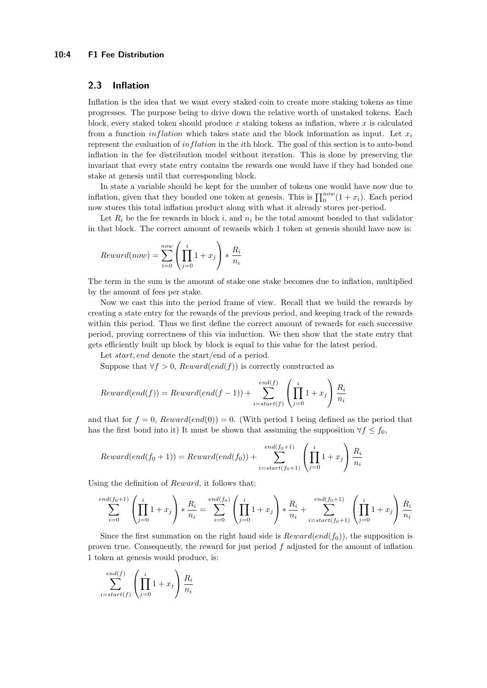# **2.3 Inflation**

Inflation is the idea that we want every staked coin to create more staking tokens as time progresses. The purpose being to drive down the relative worth of unstaked tokens. Each block, every staked token should produce *x* staking tokens as inflation, where *x* is calculated from a function *inflation* which takes state and the block information as input. Let  $x_i$ represent the evaluation of *inflation* in the *i*th block. The goal of this section is to auto-bond inflation in the fee distribution model without iteration. This is done by preserving the invariant that every state entry contains the rewards one would have if they had bonded one stake at genesis until that corresponding block.

In state a variable should be kept for the number of tokens one would have now due to inflation, given that they bonded one token at genesis. This is  $\prod_{0}^{now}(1 + x_i)$ . Each period now stores this total inflation product along with what it already stores per-period.

Let  $R_i$  be the fee rewards in block  $i$ , and  $n_i$  be the total amount bonded to that validator in that block. The correct amount of rewards which 1 token at genesis should have now is:

$$
Reward(now) = \sum_{i=0}^{now} \left(\prod_{j=0}^{i} 1 + x_j\right) * \frac{R_i}{n_i}
$$

The term in the sum is the amount of stake one stake becomes due to inflation, multiplied by the amount of fees per stake.

Now we cast this into the period frame of view. Recall that we build the rewards by creating a state entry for the rewards of the previous period, and keeping track of the rewards within this period. Thus we first define the correct amount of rewards for each successive period, proving correctness of this via induction. We then show that the state entry that gets efficiently built up block by block is equal to this value for the latest period.

Let *start, end* denote the start/end of a period.

Suppose that  $\forall f > 0$ , *Reward*(*end*(*f*)) is correctly constructed as

$$
Reward(end(f)) = Reward(end(f-1)) + \sum_{i=start(f)}^{end(f)} \left(\prod_{j=0}^{i} 1 + x_j\right) \frac{R_i}{n_i}
$$

and that for  $f = 0$ ,  $Rewardend(0) = 0$ . (With period 1 being defined as the period that has the first bond into it) It must be shown that assuming the supposition  $\forall f \leq f_0$ ,

$$
Reward(end(f_0 + 1)) = Reward(end(f_0)) + \sum_{i=start(f_0 + 1)}^{end(f_0 + 1)} \left(\prod_{j=0}^{i} 1 + x_j\right) \frac{R_i}{n_i}
$$

Using the definition of *Reward*, it follows that:

$$
\sum_{i=0}^{end(f_0+1)} \left( \prod_{j=0}^i 1 + x_j \right) * \frac{R_i}{n_i} = \sum_{i=0}^{end(f_0)} \left( \prod_{j=0}^i 1 + x_j \right) * \frac{R_i}{n_i} + \sum_{i=start(f_0+1)}^{end(f_0+1)} \left( \prod_{j=0}^i 1 + x_j \right) \frac{R_i}{n_i}
$$

Since the first summation on the right hand side is  $Reward(end(f_0))$ , the supposition is proven true. Consequently, the reward for just period *f* adjusted for the amount of inflation 1 token at genesis would produce, is:

$$
\sum_{i=start(f)}^{end(f)} \left( \prod_{j=0}^{i} 1 + x_j \right) \frac{R_i}{n_i}
$$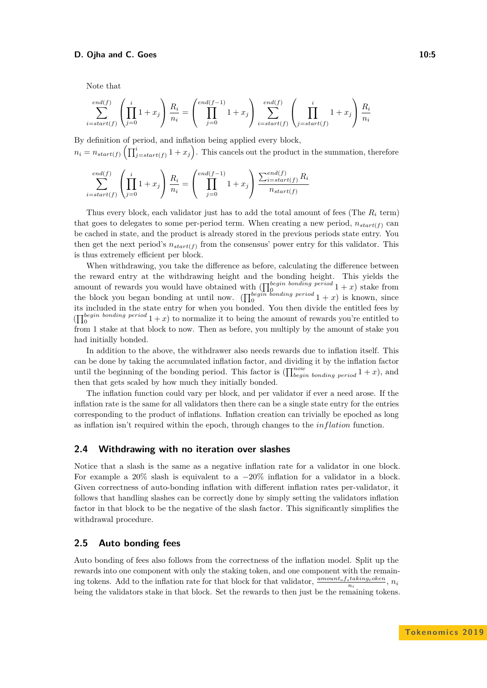### **D. Ojha and C. Goes 10:5**

Note that

$$
\sum_{i=start(f)}^{end(f)} \left(\prod_{j=0}^{i} 1 + x_j\right) \frac{R_i}{n_i} = \left(\prod_{j=0}^{end(f-1)} 1 + x_j\right) \sum_{i=start(f)}^{end(f)} \left(\prod_{j=start(f)}^{i} 1 + x_j\right) \frac{R_i}{n_i}
$$

By definition of period, and inflation being applied every block,  $n_i = n_{start(f)} \left( \prod_{j=start(f)}^{i} (1+x_j) \right)$ . This cancels out the product in the summation, therefore

$$
\sum_{i=start(f)}^{end(f)} \left(\prod_{j=0}^{i} 1 + x_j\right) \frac{R_i}{n_i} = \left(\prod_{j=0}^{end(f-1)} 1 + x_j\right) \frac{\sum_{i=start(f)}^{end(f)} R_i}{n_{start(f)}}
$$

Thus every block, each validator just has to add the total amount of fees (The *R<sup>i</sup>* term) that goes to delegates to some per-period term. When creating a new period,  $n_{start(f)}$  can be cached in state, and the product is already stored in the previous periods state entry. You then get the next period's  $n_{start(f)}$  from the consensus' power entry for this validator. This is thus extremely efficient per block.

When withdrawing, you take the difference as before, calculating the difference between the reward entry at the withdrawing height and the bonding height. This yields the amount of rewards you would have obtained with  $(\prod_{0}^{begin} b^{condition} \text{ }^{bonding} \text{ }^{period} \text{ } 1+x)$  stake from the block you began bonding at until now.  $\left(\prod_{0}^{begin{subarray}{c} \text{formula} \\ \text{0} \end{subarray} e^{e\text{riod}} 1 + x\right)$  is known, since its included in the state entry for when you bonded. You then divide the entitled fees by  $\prod_{0}^{begin}$  *bonding period*  $1+x$  to normalize it to being the amount of rewards you're entitled to from 1 stake at that block to now. Then as before, you multiply by the amount of stake you had initially bonded.

In addition to the above, the withdrawer also needs rewards due to inflation itself. This can be done by taking the accumulated inflation factor, and dividing it by the inflation factor until the beginning of the bonding period. This factor is  $(\prod_{begin}^{now}_{bending\ period} 1 + x)$ , and then that gets scaled by how much they initially bonded.

The inflation function could vary per block, and per validator if ever a need arose. If the inflation rate is the same for all validators then there can be a single state entry for the entries corresponding to the product of inflations. Inflation creation can trivially be epoched as long as inflation isn't required within the epoch, through changes to the *inflation* function.

### **2.4 Withdrawing with no iteration over slashes**

Notice that a slash is the same as a negative inflation rate for a validator in one block. For example a 20% slash is equivalent to a  $-20\%$  inflation for a validator in a block. Given correctness of auto-bonding inflation with different inflation rates per-validator, it follows that handling slashes can be correctly done by simply setting the validators inflation factor in that block to be the negative of the slash factor. This significantly simplifies the withdrawal procedure.

# **2.5 Auto bonding fees**

Auto bonding of fees also follows from the correctness of the inflation model. Split up the rewards into one component with only the staking token, and one component with the remaining tokens. Add to the inflation rate for that block for that validator,  $\frac{amountof_{s} taking to ken}{n_{i}}$ ,  $n_{i}$ being the validators stake in that block. Set the rewards to then just be the remaining tokens.